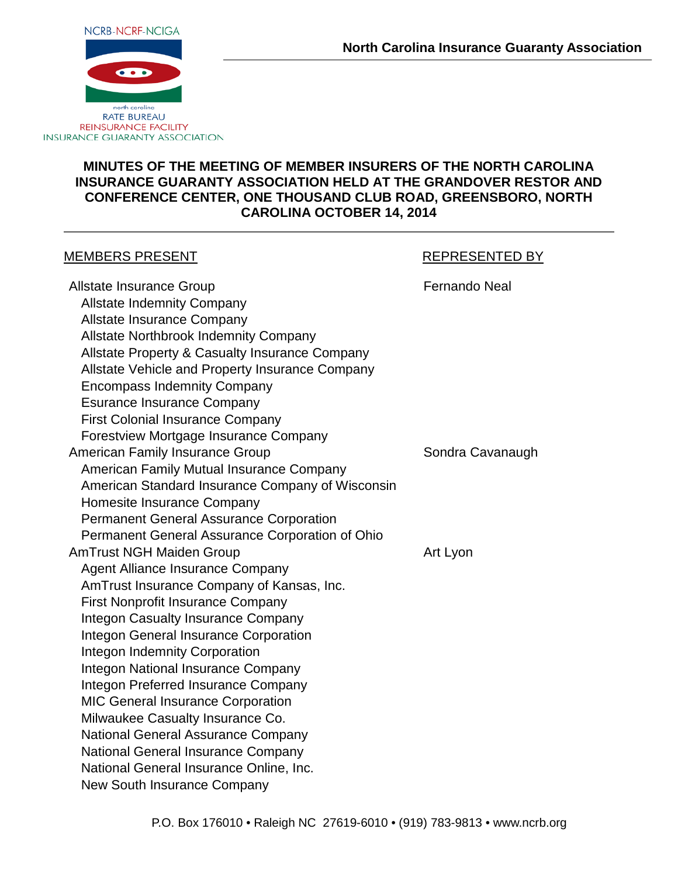

### **MINUTES OF THE MEETING OF MEMBER INSURERS OF THE NORTH CAROLINA INSURANCE GUARANTY ASSOCIATION HELD AT THE GRANDOVER RESTOR AND CONFERENCE CENTER, ONE THOUSAND CLUB ROAD, GREENSBORO, NORTH CAROLINA OCTOBER 14, 2014**

#### MEMBERS PRESENT THE REPRESENTED BY

Allstate Insurance Group **Fernando Neal** Allstate Indemnity Company Allstate Insurance Company Allstate Northbrook Indemnity Company Allstate Property & Casualty Insurance Company Allstate Vehicle and Property Insurance Company Encompass Indemnity Company Esurance Insurance Company First Colonial Insurance Company Forestview Mortgage Insurance Company American Family Insurance Group Sondra Cavanaugh American Family Mutual Insurance Company American Standard Insurance Company of Wisconsin Homesite Insurance Company Permanent General Assurance Corporation Permanent General Assurance Corporation of Ohio AmTrust NGH Maiden Group Art Lyon Agent Alliance Insurance Company AmTrust Insurance Company of Kansas, Inc. First Nonprofit Insurance Company Integon Casualty Insurance Company Integon General Insurance Corporation Integon Indemnity Corporation Integon National Insurance Company Integon Preferred Insurance Company MIC General Insurance Corporation Milwaukee Casualty Insurance Co. National General Assurance Company National General Insurance Company National General Insurance Online, Inc. New South Insurance Company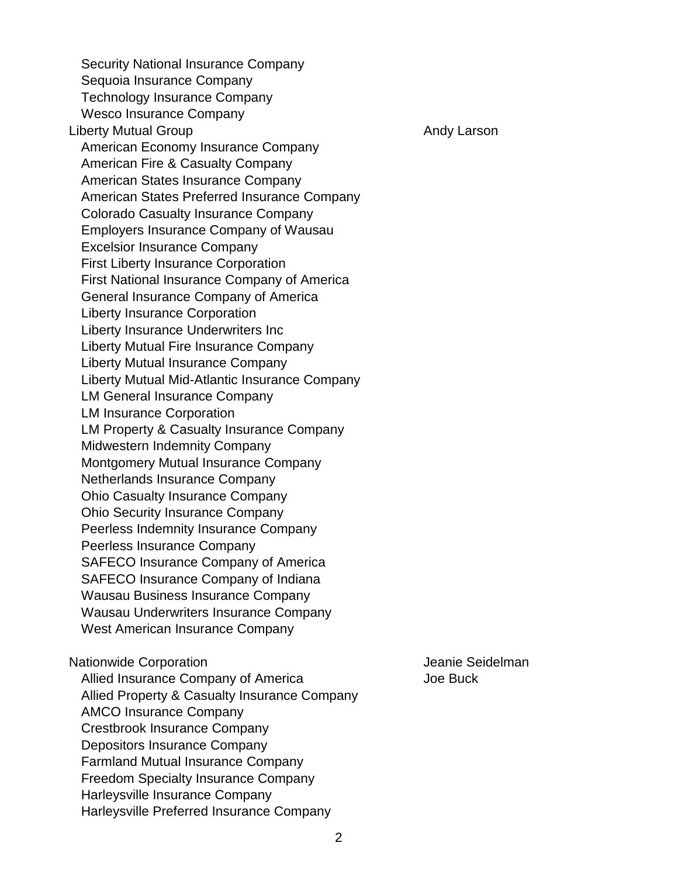Security National Insurance Company Sequoia Insurance Company Technology Insurance Company Wesco Insurance Company Liberty Mutual Group Andy Larson Andy Larson American Economy Insurance Company American Fire & Casualty Company American States Insurance Company American States Preferred Insurance Company Colorado Casualty Insurance Company Employers Insurance Company of Wausau Excelsior Insurance Company First Liberty Insurance Corporation First National Insurance Company of America General Insurance Company of America Liberty Insurance Corporation Liberty Insurance Underwriters Inc Liberty Mutual Fire Insurance Company Liberty Mutual Insurance Company Liberty Mutual Mid-Atlantic Insurance Company LM General Insurance Company LM Insurance Corporation LM Property & Casualty Insurance Company Midwestern Indemnity Company Montgomery Mutual Insurance Company Netherlands Insurance Company Ohio Casualty Insurance Company Ohio Security Insurance Company Peerless Indemnity Insurance Company Peerless Insurance Company SAFECO Insurance Company of America SAFECO Insurance Company of Indiana Wausau Business Insurance Company Wausau Underwriters Insurance Company West American Insurance Company Nationwide Corporation and a settlement of the United Seidelman Allied Insurance Company of America Superson Superson Joe Buck Allied Property & Casualty Insurance Company AMCO Insurance Company Crestbrook Insurance Company Depositors Insurance Company

Farmland Mutual Insurance Company Freedom Specialty Insurance Company

Harleysville Preferred Insurance Company

Harleysville Insurance Company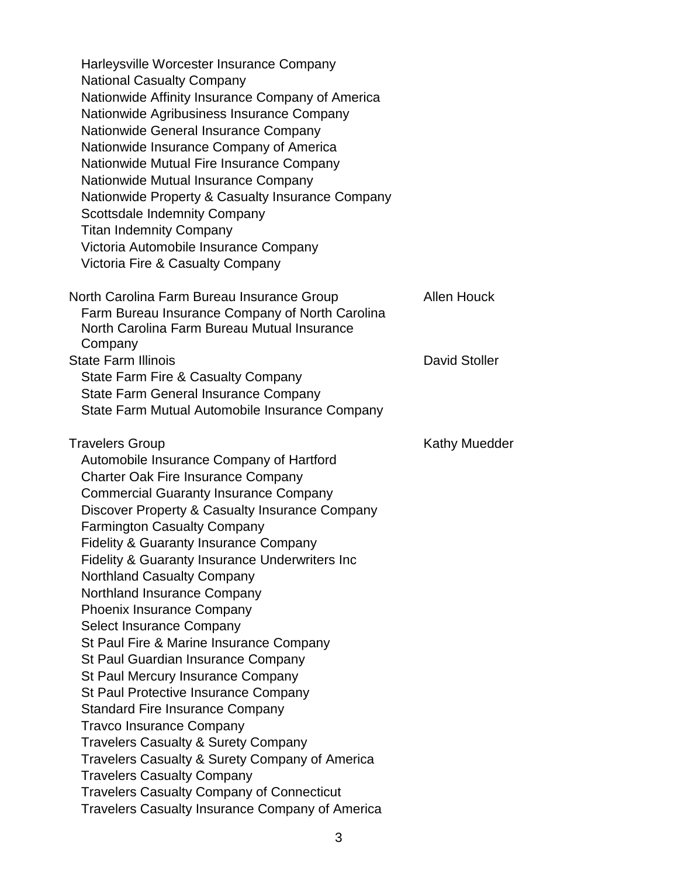| Harleysville Worcester Insurance Company                   |                      |
|------------------------------------------------------------|----------------------|
| <b>National Casualty Company</b>                           |                      |
| Nationwide Affinity Insurance Company of America           |                      |
| Nationwide Agribusiness Insurance Company                  |                      |
| Nationwide General Insurance Company                       |                      |
| Nationwide Insurance Company of America                    |                      |
| Nationwide Mutual Fire Insurance Company                   |                      |
| Nationwide Mutual Insurance Company                        |                      |
| Nationwide Property & Casualty Insurance Company           |                      |
| <b>Scottsdale Indemnity Company</b>                        |                      |
| <b>Titan Indemnity Company</b>                             |                      |
| Victoria Automobile Insurance Company                      |                      |
| Victoria Fire & Casualty Company                           |                      |
| North Carolina Farm Bureau Insurance Group                 | <b>Allen Houck</b>   |
| Farm Bureau Insurance Company of North Carolina            |                      |
| North Carolina Farm Bureau Mutual Insurance                |                      |
| Company                                                    |                      |
| <b>State Farm Illinois</b>                                 | <b>David Stoller</b> |
| <b>State Farm Fire &amp; Casualty Company</b>              |                      |
| <b>State Farm General Insurance Company</b>                |                      |
| State Farm Mutual Automobile Insurance Company             |                      |
| <b>Travelers Group</b>                                     | Kathy Muedder        |
| Automobile Insurance Company of Hartford                   |                      |
| <b>Charter Oak Fire Insurance Company</b>                  |                      |
| <b>Commercial Guaranty Insurance Company</b>               |                      |
| Discover Property & Casualty Insurance Company             |                      |
| <b>Farmington Casualty Company</b>                         |                      |
| <b>Fidelity &amp; Guaranty Insurance Company</b>           |                      |
| <b>Fidelity &amp; Guaranty Insurance Underwriters Inc.</b> |                      |
| <b>Northland Casualty Company</b>                          |                      |
| Northland Insurance Company                                |                      |
| <b>Phoenix Insurance Company</b>                           |                      |
| Select Insurance Company                                   |                      |
| St Paul Fire & Marine Insurance Company                    |                      |
| St Paul Guardian Insurance Company                         |                      |
| St Paul Mercury Insurance Company                          |                      |
| St Paul Protective Insurance Company                       |                      |
| <b>Standard Fire Insurance Company</b>                     |                      |
| <b>Travco Insurance Company</b>                            |                      |
| <b>Travelers Casualty &amp; Surety Company</b>             |                      |
| Travelers Casualty & Surety Company of America             |                      |
| <b>Travelers Casualty Company</b>                          |                      |
| <b>Travelers Casualty Company of Connecticut</b>           |                      |
| <b>Travelers Casualty Insurance Company of America</b>     |                      |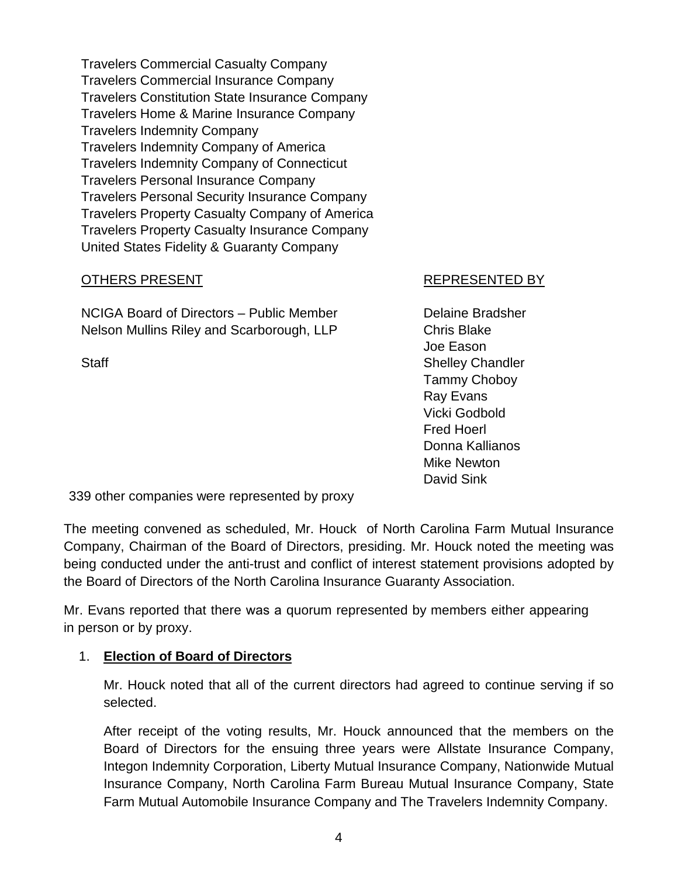Travelers Commercial Casualty Company Travelers Commercial Insurance Company Travelers Constitution State Insurance Company Travelers Home & Marine Insurance Company Travelers Indemnity Company Travelers Indemnity Company of America Travelers Indemnity Company of Connecticut Travelers Personal Insurance Company Travelers Personal Security Insurance Company Travelers Property Casualty Company of America Travelers Property Casualty Insurance Company United States Fidelity & Guaranty Company

## OTHERS PRESENT REPRESENTED BY

NCIGA Board of Directors – Public Member **Delaine Bradsher** Nelson Mullins Riley and Scarborough, LLP Chris Blake

Joe Eason Staff Staff Staff Shelley Chandler Tammy Choboy Ray Evans Vicki Godbold Fred Hoerl Donna Kallianos Mike Newton David Sink

339 other companies were represented by proxy

The meeting convened as scheduled, Mr. Houck of North Carolina Farm Mutual Insurance Company, Chairman of the Board of Directors, presiding. Mr. Houck noted the meeting was being conducted under the anti-trust and conflict of interest statement provisions adopted by the Board of Directors of the North Carolina Insurance Guaranty Association.

Mr. Evans reported that there was a quorum represented by members either appearing in person or by proxy.

# 1. **Election of Board of Directors**

Mr. Houck noted that all of the current directors had agreed to continue serving if so selected.

After receipt of the voting results, Mr. Houck announced that the members on the Board of Directors for the ensuing three years were Allstate Insurance Company, Integon Indemnity Corporation, Liberty Mutual Insurance Company, Nationwide Mutual Insurance Company, North Carolina Farm Bureau Mutual Insurance Company, State Farm Mutual Automobile Insurance Company and The Travelers Indemnity Company.